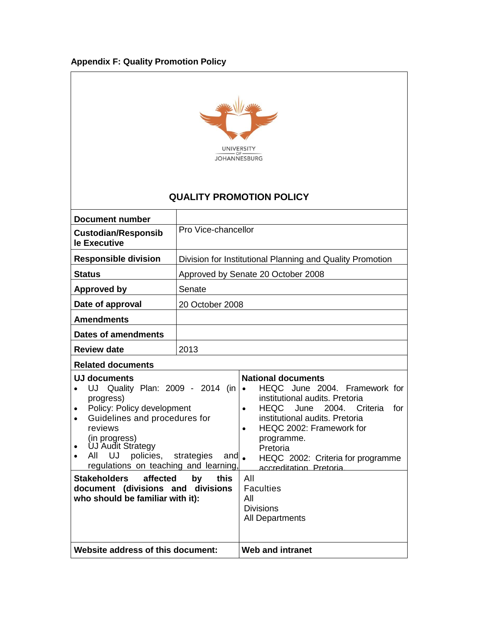# **Appendix F: Quality Promotion Policy**



# **QUALITY PROMOTION POLICY**

| <b>Document number</b>                                                                                                                                                                                                                                                                                                                                                                                              |                     |                                                                                                                                                                                                                                                                                                                                                                                                                          |
|---------------------------------------------------------------------------------------------------------------------------------------------------------------------------------------------------------------------------------------------------------------------------------------------------------------------------------------------------------------------------------------------------------------------|---------------------|--------------------------------------------------------------------------------------------------------------------------------------------------------------------------------------------------------------------------------------------------------------------------------------------------------------------------------------------------------------------------------------------------------------------------|
| <b>Custodian/Responsib</b><br>le Executive                                                                                                                                                                                                                                                                                                                                                                          | Pro Vice-chancellor |                                                                                                                                                                                                                                                                                                                                                                                                                          |
| <b>Responsible division</b>                                                                                                                                                                                                                                                                                                                                                                                         |                     | Division for Institutional Planning and Quality Promotion                                                                                                                                                                                                                                                                                                                                                                |
| <b>Status</b>                                                                                                                                                                                                                                                                                                                                                                                                       |                     | Approved by Senate 20 October 2008                                                                                                                                                                                                                                                                                                                                                                                       |
| <b>Approved by</b>                                                                                                                                                                                                                                                                                                                                                                                                  | Senate              |                                                                                                                                                                                                                                                                                                                                                                                                                          |
| Date of approval                                                                                                                                                                                                                                                                                                                                                                                                    | 20 October 2008     |                                                                                                                                                                                                                                                                                                                                                                                                                          |
| <b>Amendments</b>                                                                                                                                                                                                                                                                                                                                                                                                   |                     |                                                                                                                                                                                                                                                                                                                                                                                                                          |
| Dates of amendments                                                                                                                                                                                                                                                                                                                                                                                                 |                     |                                                                                                                                                                                                                                                                                                                                                                                                                          |
| <b>Review date</b>                                                                                                                                                                                                                                                                                                                                                                                                  | 2013                |                                                                                                                                                                                                                                                                                                                                                                                                                          |
| <b>Related documents</b>                                                                                                                                                                                                                                                                                                                                                                                            |                     |                                                                                                                                                                                                                                                                                                                                                                                                                          |
| UJ documents<br>Quality Plan: 2009 - 2014 (in<br>UJ<br>progress)<br>Policy: Policy development<br>Guidelines and procedures for<br>$\bullet$<br>reviews<br>(in progress)<br><b>UJ Audit Strategy</b><br>All UJ<br>policies, strategies<br>and $\bullet$<br>regulations on teaching and learning,<br>Stakeholders<br>affected<br>by<br>this<br>document (divisions and divisions<br>who should be familiar with it): |                     | <b>National documents</b><br>HEQC June 2004. Framework for<br>$\bullet$<br>institutional audits. Pretoria<br>HEQC<br>2004.<br>June<br>Criteria<br>for<br>$\bullet$<br>institutional audits. Pretoria<br>HEQC 2002: Framework for<br>$\bullet$<br>programme.<br>Pretoria<br>HEQC 2002: Criteria for programme<br>accreditation. Pretoria.<br>All<br><b>Faculties</b><br>All<br><b>Divisions</b><br><b>All Departments</b> |
| Website address of this document:                                                                                                                                                                                                                                                                                                                                                                                   |                     | <b>Web and intranet</b>                                                                                                                                                                                                                                                                                                                                                                                                  |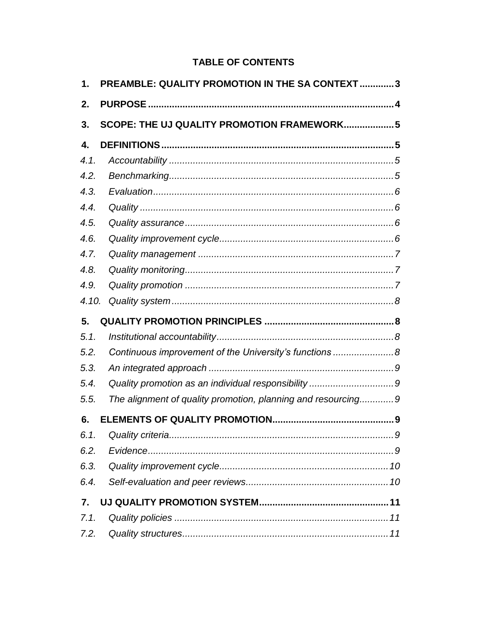# **TABLE OF CONTENTS**

| 1.    | PREAMBLE: QUALITY PROMOTION IN THE SA CONTEXT  3             |  |
|-------|--------------------------------------------------------------|--|
| 2.    |                                                              |  |
| 3.    | SCOPE: THE UJ QUALITY PROMOTION FRAMEWORK 5                  |  |
| 4.    |                                                              |  |
| 4.1.  |                                                              |  |
| 4.2.  |                                                              |  |
| 4.3.  |                                                              |  |
| 4.4.  |                                                              |  |
| 4.5.  |                                                              |  |
| 4.6.  |                                                              |  |
| 4.7.  |                                                              |  |
| 4.8.  |                                                              |  |
| 4.9.  |                                                              |  |
| 4.10. |                                                              |  |
| 5.    |                                                              |  |
| 5.1.  |                                                              |  |
|       |                                                              |  |
| 5.2.  | Continuous improvement of the University's functions 8       |  |
| 5.3.  |                                                              |  |
| 5.4.  |                                                              |  |
| 5.5.  | The alignment of quality promotion, planning and resourcing9 |  |
| 6.    |                                                              |  |
| 6.1.  |                                                              |  |
| 6.2.  |                                                              |  |
| 6.3.  |                                                              |  |
| 6.4.  |                                                              |  |
| 7.    |                                                              |  |
| 7.1.  |                                                              |  |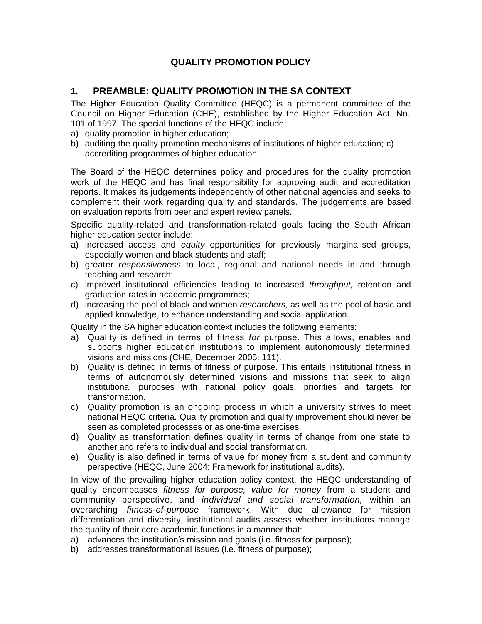## **QUALITY PROMOTION POLICY**

## <span id="page-2-0"></span>**1. PREAMBLE: QUALITY PROMOTION IN THE SA CONTEXT**

The Higher Education Quality Committee (HEQC) is a permanent committee of the Council on Higher Education (CHE), established by the Higher Education Act, No. 101 of 1997. The special functions of the HEQC include:

- a) quality promotion in higher education;
- b) auditing the quality promotion mechanisms of institutions of higher education; c) accrediting programmes of higher education.

The Board of the HEQC determines policy and procedures for the quality promotion work of the HEQC and has final responsibility for approving audit and accreditation reports. It makes its judgements independently of other national agencies and seeks to complement their work regarding quality and standards. The judgements are based on evaluation reports from peer and expert review panels.

Specific quality-related and transformation-related goals facing the South African higher education sector include:

- a) increased access and *equity* opportunities for previously marginalised groups, especially women and black students and staff;
- b) greater *responsiveness* to local, regional and national needs in and through teaching and research;
- c) improved institutional efficiencies leading to increased *throughput,* retention and graduation rates in academic programmes;
- d) increasing the pool of black and women *researchers,* as well as the pool of basic and applied knowledge, to enhance understanding and social application.

Quality in the SA higher education context includes the following elements:

- a) Quality is defined in terms of fitness *for* purpose. This allows, enables and supports higher education institutions to implement autonomously determined visions and missions (CHE, December 2005: 111).
- b) Quality is defined in terms of fitness *of* purpose. This entails institutional fitness in terms of autonomously determined visions and missions that seek to align institutional purposes with national policy goals, priorities and targets for transformation.
- c) Quality promotion is an ongoing process in which a university strives to meet national HEQC criteria. Quality promotion and quality improvement should never be seen as completed processes or as one-time exercises.
- d) Quality as transformation defines quality in terms of change from one state to another and refers to individual and social transformation.
- e) Quality is also defined in terms of value for money from a student and community perspective (HEQC, June 2004: Framework for institutional audits).

In view of the prevailing higher education policy context, the HEQC understanding of quality encompasses *fitness for purpose, value for money* from a student and community perspective, and *individual and social transformation,* within an overarching *fitness-of-purpose* framework. With due allowance for mission differentiation and diversity, institutional audits assess whether institutions manage the quality of their core academic functions in a manner that:

- a) advances the institution's mission and goals (i.e. fitness for purpose);
- b) addresses transformational issues (i.e. fitness of purpose);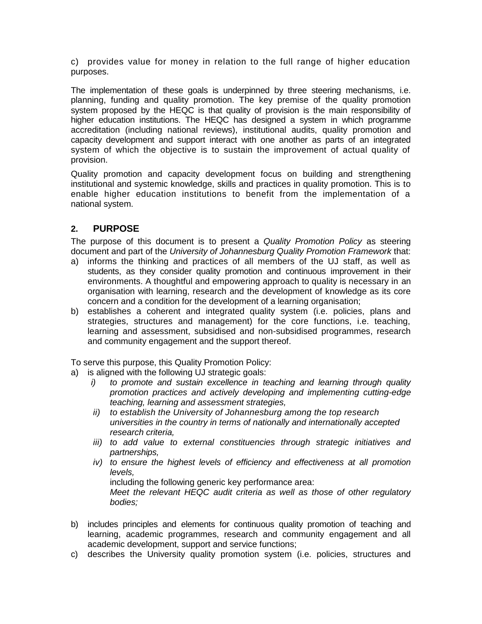c) provides value for money in relation to the full range of higher education purposes.

The implementation of these goals is underpinned by three steering mechanisms, i.e. planning, funding and quality promotion. The key premise of the quality promotion system proposed by the HEQC is that quality of provision is the main responsibility of higher education institutions. The HEQC has designed a system in which programme accreditation (including national reviews), institutional audits, quality promotion and capacity development and support interact with one another as parts of an integrated system of which the objective is to sustain the improvement of actual quality of provision.

Quality promotion and capacity development focus on building and strengthening institutional and systemic knowledge, skills and practices in quality promotion. This is to enable higher education institutions to benefit from the implementation of a national system.

## <span id="page-3-0"></span>**2. PURPOSE**

The purpose of this document is to present a *Quality Promotion Policy* as steering document and part of the *University of Johannesburg Quality Promotion Framework* that:

- a) informs the thinking and practices of all members of the UJ staff, as well as students, as they consider quality promotion and continuous improvement in their environments. A thoughtful and empowering approach to quality is necessary in an organisation with learning, research and the development of knowledge as its core concern and a condition for the development of a learning organisation;
- b) establishes a coherent and integrated quality system (i.e. policies, plans and strategies, structures and management) for the core functions, i.e. teaching, learning and assessment, subsidised and non-subsidised programmes, research and community engagement and the support thereof.

To serve this purpose, this Quality Promotion Policy:

- a) is aligned with the following UJ strategic goals:
	- *i) to promote and sustain excellence in teaching and learning through quality promotion practices and actively developing and implementing cutting-edge teaching, learning and assessment strategies,*
	- *ii) to establish the University of Johannesburg among the top research universities in the country in terms of nationally and internationally accepted research criteria,*
	- *iii) to add value to external constituencies through strategic initiatives and partnerships,*
	- *iv) to ensure the highest levels of efficiency and effectiveness at all promotion levels,*

including the following generic key performance area:

*Meet the relevant HEQC audit criteria as well as those of other regulatory bodies;*

- b) includes principles and elements for continuous quality promotion of teaching and learning, academic programmes, research and community engagement and all academic development, support and service functions;
- c) describes the University quality promotion system (i.e. policies, structures and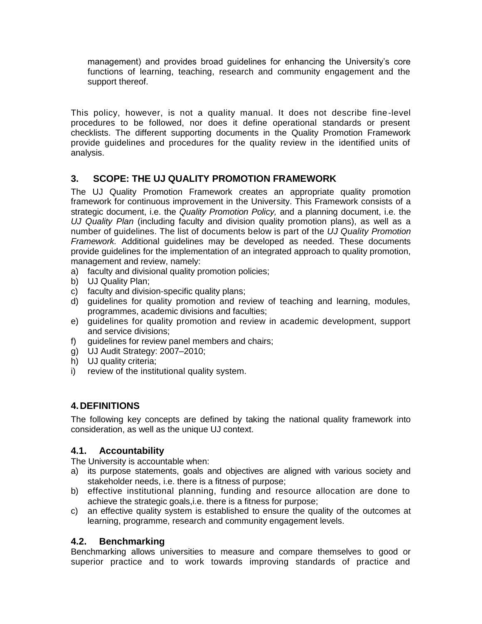management) and provides broad guidelines for enhancing the University's core functions of learning, teaching, research and community engagement and the support thereof.

This policy, however, is not a quality manual. It does not describe fine-level procedures to be followed, nor does it define operational standards or present checklists. The different supporting documents in the Quality Promotion Framework provide guidelines and procedures for the quality review in the identified units of analysis.

## <span id="page-4-0"></span>**3. SCOPE: THE UJ QUALITY PROMOTION FRAMEWORK**

The UJ Quality Promotion Framework creates an appropriate quality promotion framework for continuous improvement in the University. This Framework consists of a strategic document, i.e. the *Quality Promotion Policy,* and a planning document, i.e. the *UJ Quality Plan* (including faculty and division quality promotion plans), as well as a number of guidelines. The list of documents below is part of the *UJ Quality Promotion Framework.* Additional guidelines may be developed as needed. These documents provide guidelines for the implementation of an integrated approach to quality promotion, management and review, namely:

- a) faculty and divisional quality promotion policies;
- b) UJ Quality Plan;
- c) faculty and division-specific quality plans;
- d) guidelines for quality promotion and review of teaching and learning, modules, programmes, academic divisions and faculties;
- e) guidelines for quality promotion and review in academic development, support and service divisions;
- f) guidelines for review panel members and chairs;
- g) UJ Audit Strategy: 2007–2010;
- h) UJ quality criteria;
- <span id="page-4-1"></span>i) review of the institutional quality system.

## **4.DEFINITIONS**

The following key concepts are defined by taking the national quality framework into consideration, as well as the unique UJ context.

## <span id="page-4-2"></span>**4.1. Accountability**

The University is accountable when:

- a) its purpose statements, goals and objectives are aligned with various society and stakeholder needs, i.e. there is a fitness of purpose;
- b) effective institutional planning, funding and resource allocation are done to achieve the strategic goals,i.e. there is a fitness for purpose;
- c) an effective quality system is established to ensure the quality of the outcomes at learning, programme, research and community engagement levels.

## <span id="page-4-3"></span>**4.2. Benchmarking**

Benchmarking allows universities to measure and compare themselves to good or superior practice and to work towards improving standards of practice and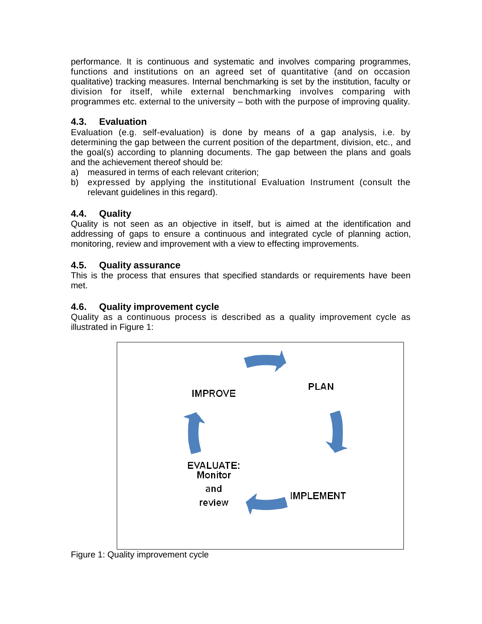performance. It is continuous and systematic and involves comparing programmes, functions and institutions on an agreed set of quantitative (and on occasion qualitative) tracking measures. Internal benchmarking is set by the institution, faculty or division for itself, while external benchmarking involves comparing with programmes etc. external to the university – both with the purpose of improving quality.

## <span id="page-5-0"></span>**4.3. Evaluation**

Evaluation (e.g. self-evaluation) is done by means of a gap analysis, i.e. by determining the gap between the current position of the department, division, etc., and the goal(s) according to planning documents. The gap between the plans and goals and the achievement thereof should be:

- a) measured in terms of each relevant criterion;
- b) expressed by applying the institutional Evaluation Instrument (consult the relevant guidelines in this regard).

## <span id="page-5-1"></span>**4.4. Quality**

Quality is not seen as an objective in itself, but is aimed at the identification and addressing of gaps to ensure a continuous and integrated cycle of planning action, monitoring, review and improvement with a view to effecting improvements.

## <span id="page-5-2"></span>**4.5. Quality assurance**

This is the process that ensures that specified standards or requirements have been met.

## <span id="page-5-3"></span>**4.6. Quality improvement cycle**

Quality as a continuous process is described as a quality improvement cycle as illustrated in Figure 1:



Figure 1: Quality improvement cycle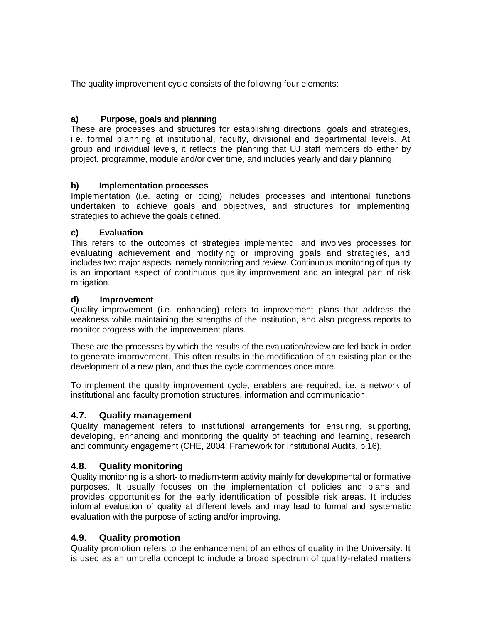The quality improvement cycle consists of the following four elements:

## **a) Purpose, goals and planning**

These are processes and structures for establishing directions, goals and strategies, i.e. formal planning at institutional, faculty, divisional and departmental levels. At group and individual levels, it reflects the planning that UJ staff members do either by project, programme, module and/or over time, and includes yearly and daily planning.

#### **b) Implementation processes**

Implementation (i.e. acting or doing) includes processes and intentional functions undertaken to achieve goals and objectives, and structures for implementing strategies to achieve the goals defined.

#### **c) Evaluation**

This refers to the outcomes of strategies implemented, and involves processes for evaluating achievement and modifying or improving goals and strategies, and includes two major aspects, namely monitoring and review. Continuous monitoring of quality is an important aspect of continuous quality improvement and an integral part of risk mitigation.

#### **d) Improvement**

Quality improvement (i.e. enhancing) refers to improvement plans that address the weakness while maintaining the strengths of the institution, and also progress reports to monitor progress with the improvement plans.

These are the processes by which the results of the evaluation/review are fed back in order to generate improvement. This often results in the modification of an existing plan or the development of a new plan, and thus the cycle commences once more.

To implement the quality improvement cycle, enablers are required, i.e. a network of institutional and faculty promotion structures, information and communication.

#### <span id="page-6-0"></span>**4.7. Quality management**

Quality management refers to institutional arrangements for ensuring, supporting, developing, enhancing and monitoring the quality of teaching and learning, research and community engagement (CHE, 2004: Framework for Institutional Audits, p.16).

#### <span id="page-6-1"></span>**4.8. Quality monitoring**

Quality monitoring is a short- to medium-term activity mainly for developmental or formative purposes. It usually focuses on the implementation of policies and plans and provides opportunities for the early identification of possible risk areas. It includes informal evaluation of quality at different levels and may lead to formal and systematic evaluation with the purpose of acting and/or improving.

#### <span id="page-6-2"></span>**4.9. Quality promotion**

Quality promotion refers to the enhancement of an ethos of quality in the University. It is used as an umbrella concept to include a broad spectrum of quality-related matters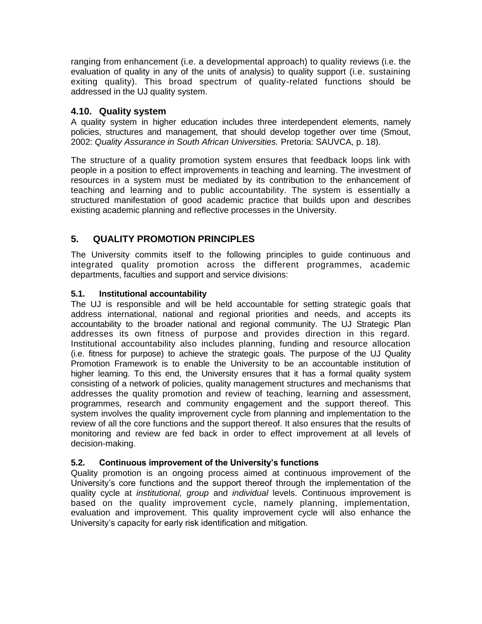ranging from enhancement (i.e. a developmental approach) to quality reviews (i.e. the evaluation of quality in any of the units of analysis) to quality support (i.e. sustaining exiting quality). This broad spectrum of quality-related functions should be addressed in the UJ quality system.

## <span id="page-7-0"></span>**4.10. Quality system**

A quality system in higher education includes three interdependent elements, namely policies, structures and management, that should develop together over time (Smout, 2002: *Quality Assurance in South African Universities.* Pretoria: SAUVCA, p. 18).

The structure of a quality promotion system ensures that feedback loops link with people in a position to effect improvements in teaching and learning. The investment of resources in a system must be mediated by its contribution to the enhancement of teaching and learning and to public accountability. The system is essentially a structured manifestation of good academic practice that builds upon and describes existing academic planning and reflective processes in the University.

## <span id="page-7-1"></span>**5. QUALITY PROMOTION PRINCIPLES**

The University commits itself to the following principles to guide continuous and integrated quality promotion across the different programmes, academic departments, faculties and support and service divisions:

## <span id="page-7-2"></span>**5.1. Institutional accountability**

The UJ is responsible and will be held accountable for setting strategic goals that address international, national and regional priorities and needs, and accepts its accountability to the broader national and regional community. The UJ Strategic Plan addresses its own fitness of purpose and provides direction in this regard. Institutional accountability also includes planning, funding and resource allocation (i.e. fitness for purpose) to achieve the strategic goals. The purpose of the UJ Quality Promotion Framework is to enable the University to be an accountable institution of higher learning. To this end, the University ensures that it has a formal quality system consisting of a network of policies, quality management structures and mechanisms that addresses the quality promotion and review of teaching, learning and assessment, programmes, research and community engagement and the support thereof. This system involves the quality improvement cycle from planning and implementation to the review of all the core functions and the support thereof. It also ensures that the results of monitoring and review are fed back in order to effect improvement at all levels of decision-making.

## <span id="page-7-3"></span>**5.2. Continuous improvement of the University's functions**

Quality promotion is an ongoing process aimed at continuous improvement of the University's core functions and the support thereof through the implementation of the quality cycle at *institutional, group* and *individual* levels. Continuous improvement is based on the quality improvement cycle, namely planning, implementation, evaluation and improvement. This quality improvement cycle will also enhance the University's capacity for early risk identification and mitigation.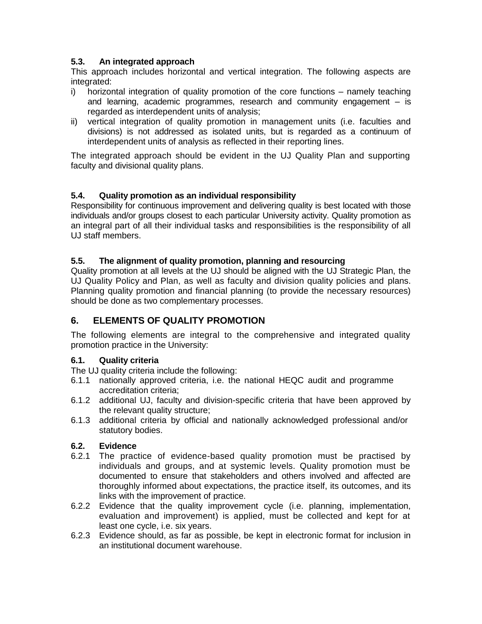#### <span id="page-8-0"></span>**5.3. An integrated approach**

This approach includes horizontal and vertical integration. The following aspects are integrated:

- i) horizontal integration of quality promotion of the core functions namely teaching and learning, academic programmes, research and community engagement – is regarded as interdependent units of analysis;
- ii) vertical integration of quality promotion in management units (i.e. faculties and divisions) is not addressed as isolated units, but is regarded as a continuum of interdependent units of analysis as reflected in their reporting lines.

The integrated approach should be evident in the UJ Quality Plan and supporting faculty and divisional quality plans.

## <span id="page-8-1"></span>**5.4. Quality promotion as an individual responsibility**

Responsibility for continuous improvement and delivering quality is best located with those individuals and/or groups closest to each particular University activity. Quality promotion as an integral part of all their individual tasks and responsibilities is the responsibility of all UJ staff members.

#### <span id="page-8-2"></span>**5.5. The alignment of quality promotion, planning and resourcing**

Quality promotion at all levels at the UJ should be aligned with the UJ Strategic Plan, the UJ Quality Policy and Plan, as well as faculty and division quality policies and plans. Planning quality promotion and financial planning (to provide the necessary resources) should be done as two complementary processes.

## <span id="page-8-3"></span>**6. ELEMENTS OF QUALITY PROMOTION**

The following elements are integral to the comprehensive and integrated quality promotion practice in the University:

#### <span id="page-8-4"></span>**6.1. Quality criteria**

The UJ quality criteria include the following:

- 6.1.1 nationally approved criteria, i.e. the national HEQC audit and programme accreditation criteria;
- 6.1.2 additional UJ, faculty and division-specific criteria that have been approved by the relevant quality structure;
- 6.1.3 additional criteria by official and nationally acknowledged professional and/or statutory bodies.

## <span id="page-8-5"></span>**6.2. Evidence**

- 6.2.1 The practice of evidence-based quality promotion must be practised by individuals and groups, and at systemic levels. Quality promotion must be documented to ensure that stakeholders and others involved and affected are thoroughly informed about expectations, the practice itself, its outcomes, and its links with the improvement of practice.
- 6.2.2 Evidence that the quality improvement cycle (i.e. planning, implementation, evaluation and improvement) is applied, must be collected and kept for at least one cycle, i.e. six years.
- 6.2.3 Evidence should, as far as possible, be kept in electronic format for inclusion in an institutional document warehouse.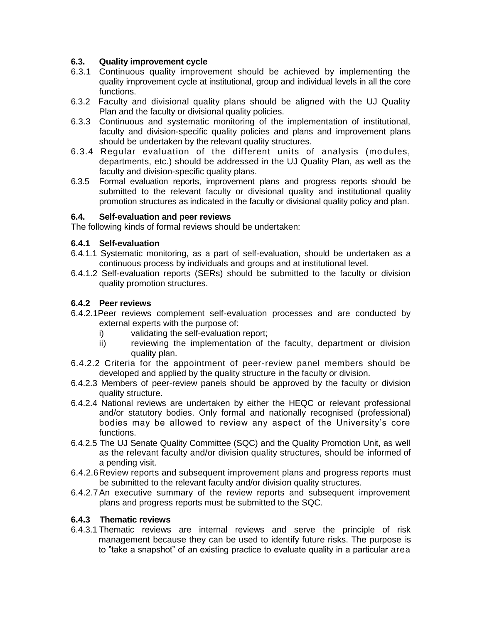#### <span id="page-9-0"></span>**6.3. Quality improvement cycle**

- 6.3.1 Continuous quality improvement should be achieved by implementing the quality improvement cycle at institutional, group and individual levels in all the core functions.
- 6.3.2 Faculty and divisional quality plans should be aligned with the UJ Quality Plan and the faculty or divisional quality policies.
- 6.3.3 Continuous and systematic monitoring of the implementation of institutional, faculty and division-specific quality policies and plans and improvement plans should be undertaken by the relevant quality structures.
- 6.3.4 Regular evaluation of the different units of analysis (modules, departments, etc.) should be addressed in the UJ Quality Plan, as well as the faculty and division-specific quality plans.
- 6.3.5 Formal evaluation reports, improvement plans and progress reports should be submitted to the relevant faculty or divisional quality and institutional quality promotion structures as indicated in the faculty or divisional quality policy and plan.

#### <span id="page-9-1"></span>**6.4. Self-evaluation and peer reviews**

The following kinds of formal reviews should be undertaken:

#### **6.4.1 Self-evaluation**

- 6.4.1.1 Systematic monitoring, as a part of self-evaluation, should be undertaken as a continuous process by individuals and groups and at institutional level.
- 6.4.1.2 Self-evaluation reports (SERs) should be submitted to the faculty or division quality promotion structures.

#### **6.4.2 Peer reviews**

- 6.4.2.1Peer reviews complement self-evaluation processes and are conducted by external experts with the purpose of:
	- i) validating the self-evaluation report;
	- ii) reviewing the implementation of the faculty, department or division quality plan.
- 6.4.2.2 Criteria for the appointment of peer-review panel members should be developed and applied by the quality structure in the faculty or division.
- 6.4.2.3 Members of peer-review panels should be approved by the faculty or division quality structure.
- 6.4.2.4 National reviews are undertaken by either the HEQC or relevant professional and/or statutory bodies. Only formal and nationally recognised (professional) bodies may be allowed to review any aspect of the University's core functions.
- 6.4.2.5 The UJ Senate Quality Committee (SQC) and the Quality Promotion Unit, as well as the relevant faculty and/or division quality structures, should be informed of a pending visit.
- 6.4.2.6Review reports and subsequent improvement plans and progress reports must be submitted to the relevant faculty and/or division quality structures.
- 6.4.2.7An executive summary of the review reports and subsequent improvement plans and progress reports must be submitted to the SQC.

#### **6.4.3 Thematic reviews**

6.4.3.1Thematic reviews are internal reviews and serve the principle of risk management because they can be used to identify future risks. The purpose is to "take a snapshot" of an existing practice to evaluate quality in a particular area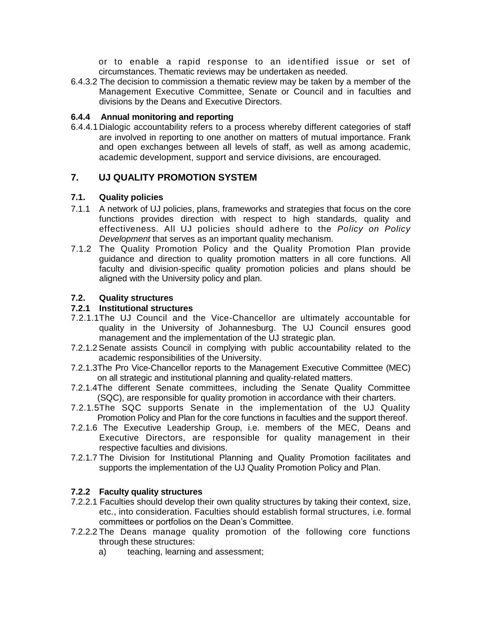or to enable a rapid response to an identified issue or set of circumstances. Thematic reviews may be undertaken as needed.

6.4.3.2 The decision to commission a thematic review may be taken by a member of the Management Executive Committee, Senate or Council and in faculties and divisions by the Deans and Executive Directors.

#### **6.4.4 Annual monitoring and reporting**

6.4.4.1 Dialogic accountability refers to a process whereby different categories of staff are involved in reporting to one another on matters of mutual importance. Frank and open exchanges between all levels of staff, as well as among academic, academic development, support and service divisions, are encouraged.

## <span id="page-10-0"></span>**7. UJ QUALITY PROMOTION SYSTEM**

## <span id="page-10-1"></span>**7.1. Quality policies**

- 7.1.1 A network of UJ policies, plans, frameworks and strategies that focus on the core functions provides direction with respect to high standards, quality and effectiveness. All UJ policies should adhere to the *Policy on Policy Development* that serves as an important quality mechanism.
- 7.1.2 The Quality Promotion Policy and the Quality Promotion Plan provide guidance and direction to quality promotion matters in all core functions. All faculty and division-specific quality promotion policies and plans should be aligned with the University policy and plan.

## <span id="page-10-2"></span>**7.2. Quality structures**

## **7.2.1 Institutional structures**

- 7.2.1.1The UJ Council and the Vice-Chancellor are ultimately accountable for quality in the University of Johannesburg. The UJ Council ensures good management and the implementation of the UJ strategic plan.
- 7.2.1.2Senate assists Council in complying with public accountability related to the academic responsibilities of the University.
- 7.2.1.3The Pro Vice-Chancellor reports to the Management Executive Committee (MEC) on all strategic and institutional planning and quality-related matters.
- 7.2.1.4The different Senate committees, including the Senate Quality Committee (SQC), are responsible for quality promotion in accordance with their charters.
- 7.2.1.5The SQC supports Senate in the implementation of the UJ Quality Promotion Policy and Plan for the core functions in faculties and the support thereof.
- 7.2.1.6 The Executive Leadership Group, i.e. members of the MEC, Deans and Executive Directors, are responsible for quality management in their respective faculties and divisions.
- 7.2.1.7 The Division for Institutional Planning and Quality Promotion facilitates and supports the implementation of the UJ Quality Promotion Policy and Plan.

## **7.2.2 Faculty quality structures**

- 7.2.2.1 Faculties should develop their own quality structures by taking their context, size, etc., into consideration. Faculties should establish formal structures, i.e. formal committees or portfolios on the Dean's Committee.
- 7.2.2.2 The Deans manage quality promotion of the following core functions through these structures:
	- a) teaching, learning and assessment;